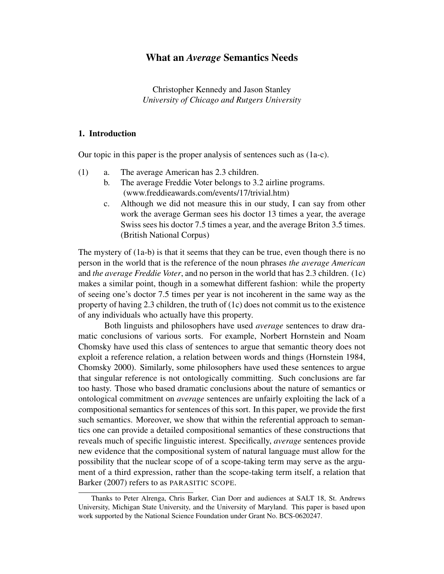# What an *Average* Semantics Needs

Christopher Kennedy and Jason Stanley *University of Chicago and Rutgers University*

# 1. Introduction

Our topic in this paper is the proper analysis of sentences such as (1a-c).

- (1) a. The average American has 2.3 children.
	- b. The average Freddie Voter belongs to 3.2 airline programs. (www.freddieawards.com/events/17/trivial.htm)
	- c. Although we did not measure this in our study, I can say from other work the average German sees his doctor 13 times a year, the average Swiss sees his doctor 7.5 times a year, and the average Briton 3.5 times. (British National Corpus)

The mystery of (1a-b) is that it seems that they can be true, even though there is no person in the world that is the reference of the noun phrases *the average American* and *the average Freddie Voter*, and no person in the world that has 2.3 children. (1c) makes a similar point, though in a somewhat different fashion: while the property of seeing one's doctor 7.5 times per year is not incoherent in the same way as the property of having 2.3 children, the truth of (1c) does not commit us to the existence of any individuals who actually have this property.

Both linguists and philosophers have used *average* sentences to draw dramatic conclusions of various sorts. For example, Norbert Hornstein and Noam Chomsky have used this class of sentences to argue that semantic theory does not exploit a reference relation, a relation between words and things (Hornstein 1984, Chomsky 2000). Similarly, some philosophers have used these sentences to argue that singular reference is not ontologically committing. Such conclusions are far too hasty. Those who based dramatic conclusions about the nature of semantics or ontological commitment on *average* sentences are unfairly exploiting the lack of a compositional semantics for sentences of this sort. In this paper, we provide the first such semantics. Moreover, we show that within the referential approach to semantics one can provide a detailed compositional semantics of these constructions that reveals much of specific linguistic interest. Specifically, *average* sentences provide new evidence that the compositional system of natural language must allow for the possibility that the nuclear scope of of a scope-taking term may serve as the argument of a third expression, rather than the scope-taking term itself, a relation that Barker (2007) refers to as PARASITIC SCOPE.

Thanks to Peter Alrenga, Chris Barker, Cian Dorr and audiences at SALT 18, St. Andrews University, Michigan State University, and the University of Maryland. This paper is based upon work supported by the National Science Foundation under Grant No. BCS-0620247.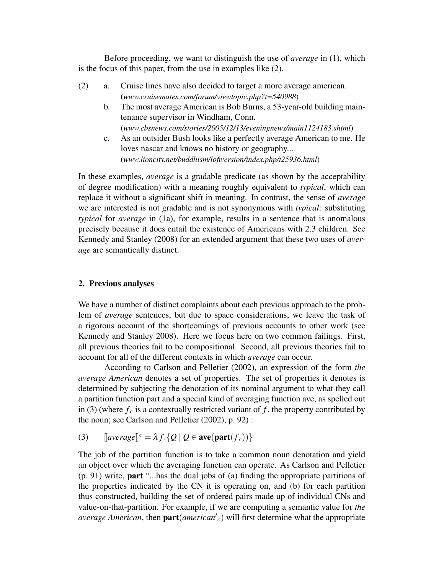Before proceeding, we want to distinguish the use of *average* in (1), which is the focus of this paper, from the use in examples like (2).

- (2) a. Cruise lines have also decided to target a more average american. (*www.cruisemates.com/forum/viewtopic.php?t=540988*)
	- b. The most average American is Bob Burns, a 53-year-old building maintenance supervisor in Windham, Conn. (*www.cbsnews.com/stories/2005/12/13/eveningnews/main1124183.shtml*)
	- c. As an outsider Bush looks like a perfectly average American to me. He loves nascar and knows no history or geography... (*www.lioncity.net/buddhism/lofiversion/index.php/t25936.html*)

In these examples, *average* is a gradable predicate (as shown by the acceptability of degree modification) with a meaning roughly equivalent to *typical*, which can replace it without a significant shift in meaning. In contrast, the sense of *average* we are interested is not gradable and is not synonymous with *typical*: substituting *typical* for *average* in (1a), for example, results in a sentence that is anomalous precisely because it does entail the existence of Americans with 2.3 children. See Kennedy and Stanley (2008) for an extended argument that these two uses of *average* are semantically distinct.

# 2. Previous analyses

We have a number of distinct complaints about each previous approach to the problem of *average* sentences, but due to space considerations, we leave the task of a rigorous account of the shortcomings of previous accounts to other work (see Kennedy and Stanley 2008). Here we focus here on two common failings. First, all previous theories fail to be compositional. Second, all previous theories fail to account for all of the different contexts in which *average* can occur.

According to Carlson and Pelletier (2002), an expression of the form *the average American* denotes a set of properties. The set of properties it denotes is determined by subjecting the denotation of its nominal argument to what they call a partition function part and a special kind of averaging function ave, as spelled out in (3) (where  $f_c$  is a contextually restricted variant of  $f$ , the property contributed by the noun; see Carlson and Pelletier (2002), p. 92) :

(3)  $[average]^c = \lambda f \cdot \{Q \mid Q \in \textbf{ave}(\textbf{part}(f_c))\}$ 

The job of the partition function is to take a common noun denotation and yield an object over which the averaging function can operate. As Carlson and Pelletier (p. 91) write, part "...has the dual jobs of (a) finding the appropriate partitions of the properties indicated by the CN it is operating on, and (b) for each partition thus constructed, building the set of ordered pairs made up of individual CNs and value-on-that-partition. For example, if we are computing a semantic value for *the average American*, then  $part(american'c)$  will first determine what the appropriate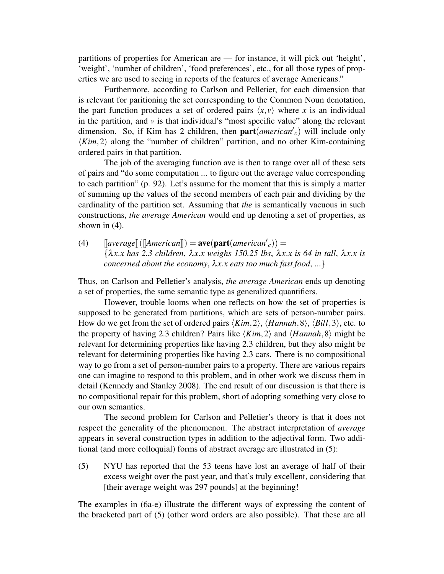partitions of properties for American are — for instance, it will pick out 'height', 'weight', 'number of children', 'food preferences', etc., for all those types of properties we are used to seeing in reports of the features of average Americans."

Furthermore, according to Carlson and Pelletier, for each dimension that is relevant for paritioning the set corresponding to the Common Noun denotation, the part function produces a set of ordered pairs  $\langle x, v \rangle$  where *x* is an individual in the partition, and  $\nu$  is that individual's "most specific value" along the relevant dimension. So, if Kim has 2 children, then  $part(american'c)$  will include only  $\langle Kim, 2 \rangle$  along the "number of children" partition, and no other Kim-containing ordered pairs in that partition.

The job of the averaging function ave is then to range over all of these sets of pairs and "do some computation ... to figure out the average value corresponding to each partition" (p. 92). Let's assume for the moment that this is simply a matter of summing up the values of the second members of each pair and dividing by the cardinality of the partition set. Assuming that *the* is semantically vacuous in such constructions, *the average American* would end up denoting a set of properties, as shown in (4).

(4)  $\left[average\right] \left( \left[American\right] \right) = \textbf{ave}(\textbf{part}(Americanc)) =$ {λ*x*.*x has 2.3 children*, λ*x*.*x weighs 150.25 lbs*, λ*x*.*x is 64 in tall*, λ*x*.*x is concerned about the economy*, λ*x*.*x eats too much fast food*, ...}

Thus, on Carlson and Pelletier's analysis, *the average American* ends up denoting a set of properties, the same semantic type as generalized quantifiers.

However, trouble looms when one reflects on how the set of properties is supposed to be generated from partitions, which are sets of person-number pairs. How do we get from the set of ordered pairs  $\langle Kim,2\rangle$ ,  $\langle Hannah,8\rangle$ ,  $\langle Bill,3\rangle$ , etc. to the property of having 2.3 children? Pairs like  $\langle Kim, 2 \rangle$  and  $\langle Hamnah, 8 \rangle$  might be relevant for determining properties like having 2.3 children, but they also might be relevant for determining properties like having 2.3 cars. There is no compositional way to go from a set of person-number pairs to a property. There are various repairs one can imagine to respond to this problem, and in other work we discuss them in detail (Kennedy and Stanley 2008). The end result of our discussion is that there is no compositional repair for this problem, short of adopting something very close to our own semantics.

The second problem for Carlson and Pelletier's theory is that it does not respect the generality of the phenomenon. The abstract interpretation of *average* appears in several construction types in addition to the adjectival form. Two additional (and more colloquial) forms of abstract average are illustrated in (5):

(5) NYU has reported that the 53 teens have lost an average of half of their excess weight over the past year, and that's truly excellent, considering that [their average weight was 297 pounds] at the beginning!

The examples in (6a-e) illustrate the different ways of expressing the content of the bracketed part of (5) (other word orders are also possible). That these are all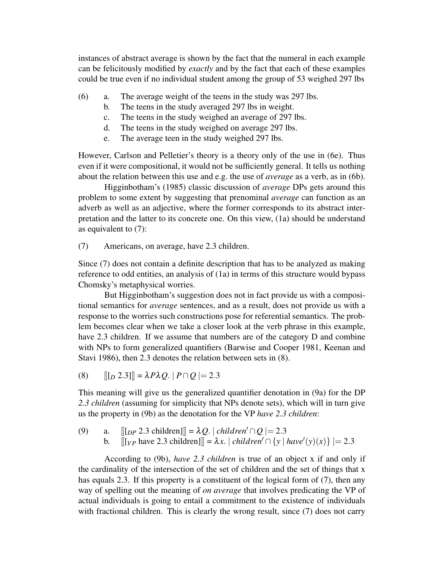instances of abstract average is shown by the fact that the numeral in each example can be felicitously modified by *exactly* and by the fact that each of these examples could be true even if no individual student among the group of 53 weighed 297 lbs

- (6) a. The average weight of the teens in the study was 297 lbs.
	- b. The teens in the study averaged 297 lbs in weight.
	- c. The teens in the study weighed an average of 297 lbs.
	- d. The teens in the study weighed on average 297 lbs.
	- e. The average teen in the study weighed 297 lbs.

However, Carlson and Pelletier's theory is a theory only of the use in (6e). Thus even if it were compositional, it would not be sufficiently general. It tells us nothing about the relation between this use and e.g. the use of *average* as a verb, as in (6b).

Higginbotham's (1985) classic discussion of *average* DPs gets around this problem to some extent by suggesting that prenominal *average* can function as an adverb as well as an adjective, where the former corresponds to its abstract interpretation and the latter to its concrete one. On this view, (1a) should be understand as equivalent to (7):

(7) Americans, on average, have 2.3 children.

Since (7) does not contain a definite description that has to be analyzed as making reference to odd entities, an analysis of (1a) in terms of this structure would bypass Chomsky's metaphysical worries.

But Higginbotham's suggestion does not in fact provide us with a compositional semantics for *average* sentences, and as a result, does not provide us with a response to the worries such constructions pose for referential semantics. The problem becomes clear when we take a closer look at the verb phrase in this example, have 2.3 children. If we assume that numbers are of the category D and combine with NPs to form generalized quantifiers (Barwise and Cooper 1981, Keenan and Stavi 1986), then 2.3 denotes the relation between sets in (8).

(8)  $[[D \ 2.3]] = \lambda P \lambda Q$ .  $|P \cap Q| = 2.3$ 

This meaning will give us the generalized quantifier denotation in (9a) for the DP *2.3 children* (assuming for simplicity that NPs denote sets), which will in turn give us the property in (9b) as the denotation for the VP *have 2.3 children*:

(9) a.  $[[p \ 2.3 \ \text{children}]] = \lambda Q$ . | *children'* ∩  $Q$  | = 2.3 b.  $[[[v_P \text{ have } 2.3 \text{ children}]] = \lambda x. | children' \cap \{y \mid have'(y)(x)\}| = 2.3$ 

According to (9b), *have 2.3 children* is true of an object x if and only if the cardinality of the intersection of the set of children and the set of things that x has equals 2.3. If this property is a constituent of the logical form of (7), then any way of spelling out the meaning of *on average* that involves predicating the VP of actual individuals is going to entail a commitment to the existence of individuals with fractional children. This is clearly the wrong result, since (7) does not carry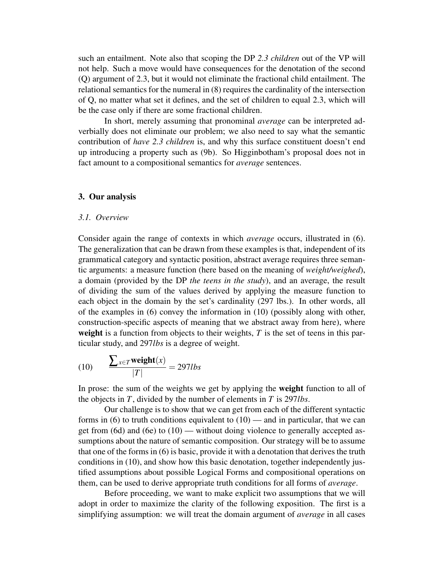such an entailment. Note also that scoping the DP *2.3 children* out of the VP will not help. Such a move would have consequences for the denotation of the second (Q) argument of 2.3, but it would not eliminate the fractional child entailment. The relational semantics for the numeral in (8) requires the cardinality of the intersection of Q, no matter what set it defines, and the set of children to equal 2.3, which will be the case only if there are some fractional children.

In short, merely assuming that pronominal *average* can be interpreted adverbially does not eliminate our problem; we also need to say what the semantic contribution of *have 2.3 children* is, and why this surface constituent doesn't end up introducing a property such as (9b). So Higginbotham's proposal does not in fact amount to a compositional semantics for *average* sentences.

#### 3. Our analysis

# *3.1. Overview*

Consider again the range of contexts in which *average* occurs, illustrated in (6). The generalization that can be drawn from these examples is that, independent of its grammatical category and syntactic position, abstract average requires three semantic arguments: a measure function (here based on the meaning of *weight/weighed*), a domain (provided by the DP *the teens in the study*), and an average, the result of dividing the sum of the values derived by applying the measure function to each object in the domain by the set's cardinality (297 lbs.). In other words, all of the examples in (6) convey the information in (10) (possibly along with other, construction-specific aspects of meaning that we abstract away from here), where weight is a function from objects to their weights, T is the set of teens in this particular study, and 297*lbs* is a degree of weight.

$$
(10) \qquad \frac{\sum_{x \in T} \text{weight}(x)}{|T|} = 297lbs
$$

In prose: the sum of the weights we get by applying the weight function to all of the objects in *T*, divided by the number of elements in *T* is 297*lbs*.

Our challenge is to show that we can get from each of the different syntactic forms in  $(6)$  to truth conditions equivalent to  $(10)$  — and in particular, that we can get from (6d) and (6e) to (10) — without doing violence to generally accepted assumptions about the nature of semantic composition. Our strategy will be to assume that one of the forms in (6) is basic, provide it with a denotation that derives the truth conditions in (10), and show how this basic denotation, together independently justified assumptions about possible Logical Forms and compositional operations on them, can be used to derive appropriate truth conditions for all forms of *average*.

Before proceeding, we want to make explicit two assumptions that we will adopt in order to maximize the clarity of the following exposition. The first is a simplifying assumption: we will treat the domain argument of *average* in all cases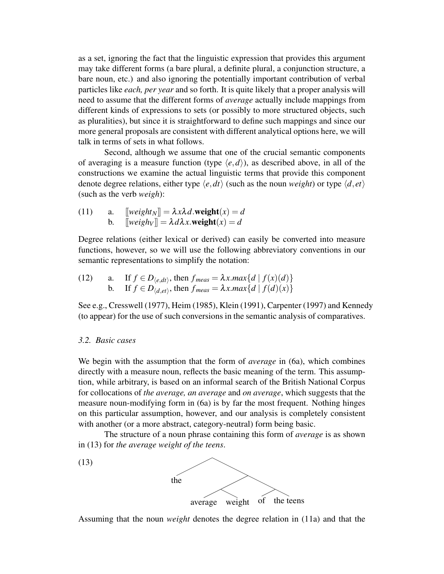as a set, ignoring the fact that the linguistic expression that provides this argument may take different forms (a bare plural, a definite plural, a conjunction structure, a bare noun, etc.) and also ignoring the potentially important contribution of verbal particles like *each, per year* and so forth. It is quite likely that a proper analysis will need to assume that the different forms of *average* actually include mappings from different kinds of expressions to sets (or possibly to more structured objects, such as pluralities), but since it is straightforward to define such mappings and since our more general proposals are consistent with different analytical options here, we will talk in terms of sets in what follows.

Second, although we assume that one of the crucial semantic components of averaging is a measure function (type  $\langle e, d \rangle$ ), as described above, in all of the constructions we examine the actual linguistic terms that provide this component denote degree relations, either type  $\langle e, dt \rangle$  (such as the noun *weight*) or type  $\langle d, et \rangle$ (such as the verb *weigh*):

(11) a.  $[weight_N] = \lambda x \lambda d$ .weight $(x) = d$ b.  $\[\n\exists \text{weight}_{V} \right] = \lambda d\lambda x.\n\text{weight}(x) = d$ 

Degree relations (either lexical or derived) can easily be converted into measure functions, however, so we will use the following abbreviatory conventions in our semantic representations to simplify the notation:

(12) a. If  $f \in D_{\langle e, dt \rangle}$ , then  $f_{meas} = \lambda x \cdot max\{d \mid f(x)(d)\}$ b. If  $f \in D_{\langle d, et \rangle}$ , then  $f_{meas} = \lambda x \cdot max\{d \mid f(d)(x)\}$ 

See e.g., Cresswell (1977), Heim (1985), Klein (1991), Carpenter (1997) and Kennedy (to appear) for the use of such conversions in the semantic analysis of comparatives.

# *3.2. Basic cases*

We begin with the assumption that the form of *average* in (6a), which combines directly with a measure noun, reflects the basic meaning of the term. This assumption, while arbitrary, is based on an informal search of the British National Corpus for collocations of *the average, an average* and *on average*, which suggests that the measure noun-modifying form in (6a) is by far the most frequent. Nothing hinges on this particular assumption, however, and our analysis is completely consistent with another (or a more abstract, category-neutral) form being basic.

The structure of a noun phrase containing this form of *average* is as shown in (13) for *the average weight of the teens*.



Assuming that the noun *weight* denotes the degree relation in (11a) and that the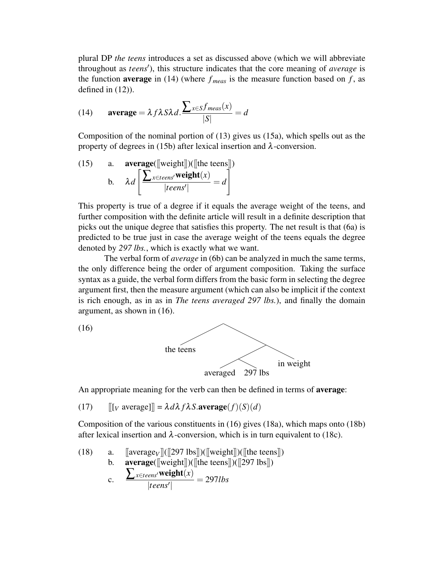plural DP *the teens* introduces a set as discussed above (which we will abbreviate throughout as *teens'*), this structure indicates that the core meaning of *average* is the function **average** in (14) (where  $f_{meas}$  is the measure function based on  $f$ , as defined in (12)).

(14) **average** = 
$$
\lambda f \lambda S \lambda d
$$
. 
$$
\frac{\sum_{x \in S} f_{meas}(x)}{|S|} = d
$$

Composition of the nominal portion of (13) gives us (15a), which spells out as the property of degrees in (15b) after lexical insertion and  $\lambda$ -conversion.

(15) a. **average**([[weight]])([[the tens]])  
b. 
$$
\lambda d \left[ \frac{\sum_{x \in tens'} \text{weight}(x)}{|teens'|} = d \right]
$$

This property is true of a degree if it equals the average weight of the teens, and further composition with the definite article will result in a definite description that picks out the unique degree that satisfies this property. The net result is that (6a) is predicted to be true just in case the average weight of the teens equals the degree denoted by *297 lbs.*, which is exactly what we want.

The verbal form of *average* in (6b) can be analyzed in much the same terms, the only difference being the order of argument composition. Taking the surface syntax as a guide, the verbal form differs from the basic form in selecting the degree argument first, then the measure argument (which can also be implicit if the context is rich enough, as in as in *The teens averaged 297 lbs.*), and finally the domain argument, as shown in (16).





An appropriate meaning for the verb can then be defined in terms of average:

(17)  $[[[V \text{ average}]]] = \lambda d\lambda f \lambda S.\text{average}(f)(S)(d)$ 

Composition of the various constituents in (16) gives (18a), which maps onto (18b) after lexical insertion and  $\lambda$ -conversion, which is in turn equivalent to (18c).

(18) a. [averagev]([297 lbs])([weight])([the teams])  
b. **average**([weight])([the teams])([297 lbs])  
c. 
$$
\frac{\sum_{x \in teams'} \text{weight}(x)}{|teens'|} = 297lbs
$$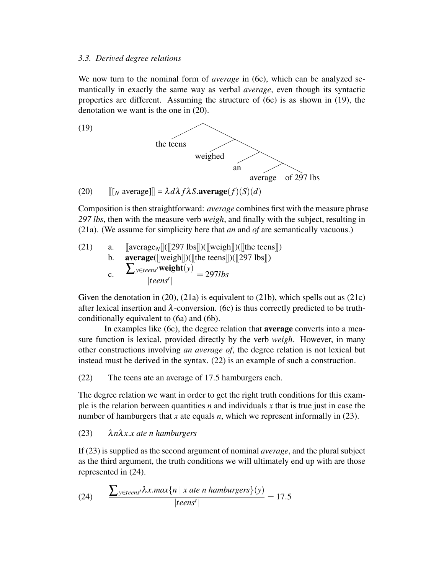#### *3.3. Derived degree relations*

We now turn to the nominal form of *average* in (6c), which can be analyzed semantically in exactly the same way as verbal *average*, even though its syntactic properties are different. Assuming the structure of (6c) is as shown in (19), the denotation we want is the one in (20).



Composition is then straightforward: *average* combines first with the measure phrase *297 lbs*, then with the measure verb *weigh*, and finally with the subject, resulting in (21a). (We assume for simplicity here that *an* and *of* are semantically vacuous.)

(21) a. 
$$
\begin{array}{ll}\n\text{[average$_N$]} \quad \text{[[297 lbs]]} \quad \text{[[weight]]} \quad \text{[[the tens]}) \\
\text{b.} \quad \text{average} \quad \text{[[weight]]} \quad \text{[[the tens]]} \quad \text{[[297 lbs]]}) \\
\text{c.} \quad \frac{\sum_{y \in teens'} \text{weight}(y)}{|teen'|} = 297 \text{lbs}\n\end{array}
$$

Given the denotation in  $(20)$ ,  $(21a)$  is equivalent to  $(21b)$ , which spells out as  $(21c)$ after lexical insertion and  $\lambda$ -conversion. (6c) is thus correctly predicted to be truthconditionally equivalent to (6a) and (6b).

In examples like (6c), the degree relation that average converts into a measure function is lexical, provided directly by the verb *weigh*. However, in many other constructions involving *an average of*, the degree relation is not lexical but instead must be derived in the syntax. (22) is an example of such a construction.

(22) The teens ate an average of 17.5 hamburgers each.

The degree relation we want in order to get the right truth conditions for this example is the relation between quantities *n* and individuals *x* that is true just in case the number of hamburgers that *x* ate equals *n*, which we represent informally in (23).

# (23) λ*n*λ*x*.*x ate n hamburgers*

If (23) is supplied as the second argument of nominal *average*, and the plural subject as the third argument, the truth conditions we will ultimately end up with are those represented in (24).

(24) 
$$
\frac{\sum_{y \in teams'} \lambda x.max\{n \mid x \text{ are } n \text{ }hamburgers\}(y)}{|teens'|} = 17.5
$$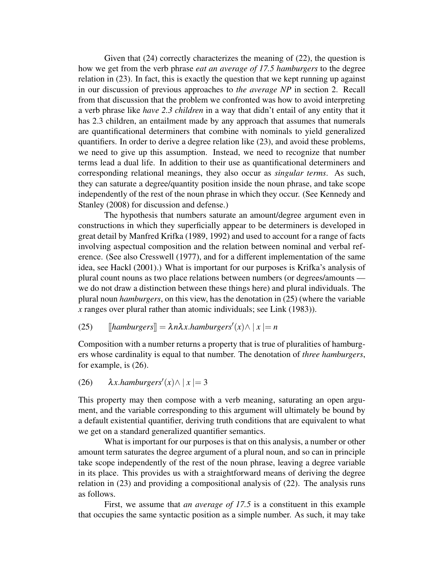Given that (24) correctly characterizes the meaning of (22), the question is how we get from the verb phrase *eat an average of 17.5 hamburgers* to the degree relation in (23). In fact, this is exactly the question that we kept running up against in our discussion of previous approaches to *the average NP* in section 2. Recall from that discussion that the problem we confronted was how to avoid interpreting a verb phrase like *have 2.3 children* in a way that didn't entail of any entity that it has 2.3 children, an entailment made by any approach that assumes that numerals are quantificational determiners that combine with nominals to yield generalized quantifiers. In order to derive a degree relation like (23), and avoid these problems, we need to give up this assumption. Instead, we need to recognize that number terms lead a dual life. In addition to their use as quantificational determiners and corresponding relational meanings, they also occur as *singular terms*. As such, they can saturate a degree/quantity position inside the noun phrase, and take scope independently of the rest of the noun phrase in which they occur. (See Kennedy and Stanley (2008) for discussion and defense.)

The hypothesis that numbers saturate an amount/degree argument even in constructions in which they superficially appear to be determiners is developed in great detail by Manfred Krifka (1989, 1992) and used to account for a range of facts involving aspectual composition and the relation between nominal and verbal reference. (See also Cresswell (1977), and for a different implementation of the same idea, see Hackl (2001).) What is important for our purposes is Krifka's analysis of plural count nouns as two place relations between numbers (or degrees/amounts we do not draw a distinction between these things here) and plural individuals. The plural noun *hamburgers*, on this view, has the denotation in (25) (where the variable *x* ranges over plural rather than atomic individuals; see Link (1983)).

(25) 
$$
[hamburgers]] = \lambda n \lambda x.hamburgers'(x) \land |x| = n
$$

Composition with a number returns a property that is true of pluralities of hamburgers whose cardinality is equal to that number. The denotation of *three hamburgers*, for example, is (26).

(26) 
$$
\lambda x.hamburgers'(x) \land |x| = 3
$$

This property may then compose with a verb meaning, saturating an open argument, and the variable corresponding to this argument will ultimately be bound by a default existential quantifier, deriving truth conditions that are equivalent to what we get on a standard generalized quantifier semantics.

What is important for our purposes is that on this analysis, a number or other amount term saturates the degree argument of a plural noun, and so can in principle take scope independently of the rest of the noun phrase, leaving a degree variable in its place. This provides us with a straightforward means of deriving the degree relation in (23) and providing a compositional analysis of (22). The analysis runs as follows.

First, we assume that *an average of 17.5* is a constituent in this example that occupies the same syntactic position as a simple number. As such, it may take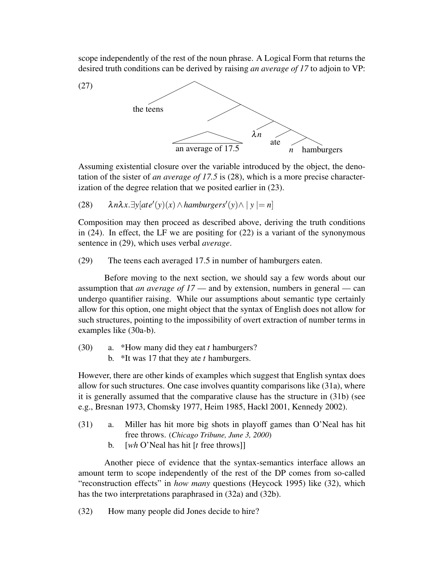scope independently of the rest of the noun phrase. A Logical Form that returns the desired truth conditions can be derived by raising *an average of 17* to adjoin to VP:



Assuming existential closure over the variable introduced by the object, the denotation of the sister of *an average of 17.5* is (28), which is a more precise characterization of the degree relation that we posited earlier in (23).

(28) 
$$
\lambda n \lambda x. \exists y [ate'(y)(x) \land \text{hamburgers}'(y) \land |y| = n]
$$

Composition may then proceed as described above, deriving the truth conditions in  $(24)$ . In effect, the LF we are positing for  $(22)$  is a variant of the synonymous sentence in (29), which uses verbal *average*.

(29) The teens each averaged 17.5 in number of hamburgers eaten.

Before moving to the next section, we should say a few words about our assumption that *an average of 17* — and by extension, numbers in general — can undergo quantifier raising. While our assumptions about semantic type certainly allow for this option, one might object that the syntax of English does not allow for such structures, pointing to the impossibility of overt extraction of number terms in examples like (30a-b).

- (30) a. \*How many did they eat *t* hamburgers?
	- b. \*It was 17 that they ate *t* hamburgers.

However, there are other kinds of examples which suggest that English syntax does allow for such structures. One case involves quantity comparisons like (31a), where it is generally assumed that the comparative clause has the structure in (31b) (see e.g., Bresnan 1973, Chomsky 1977, Heim 1985, Hackl 2001, Kennedy 2002).

- (31) a. Miller has hit more big shots in playoff games than O'Neal has hit free throws. (*Chicago Tribune, June 3, 2000*)
	- b. [*wh* O'Neal has hit [*t* free throws]]

Another piece of evidence that the syntax-semantics interface allows an amount term to scope independently of the rest of the DP comes from so-called "reconstruction effects" in *how many* questions (Heycock 1995) like (32), which has the two interpretations paraphrased in (32a) and (32b).

(32) How many people did Jones decide to hire?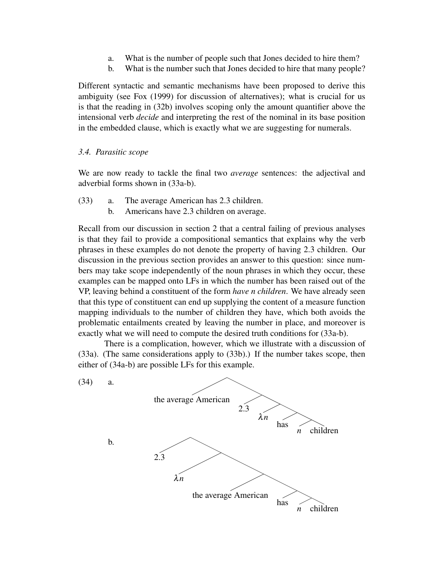- a. What is the number of people such that Jones decided to hire them?
- b. What is the number such that Jones decided to hire that many people?

Different syntactic and semantic mechanisms have been proposed to derive this ambiguity (see Fox (1999) for discussion of alternatives); what is crucial for us is that the reading in (32b) involves scoping only the amount quantifier above the intensional verb *decide* and interpreting the rest of the nominal in its base position in the embedded clause, which is exactly what we are suggesting for numerals.

# *3.4. Parasitic scope*

We are now ready to tackle the final two *average* sentences: the adjectival and adverbial forms shown in (33a-b).

- (33) a. The average American has 2.3 children.
	- b. Americans have 2.3 children on average.

Recall from our discussion in section 2 that a central failing of previous analyses is that they fail to provide a compositional semantics that explains why the verb phrases in these examples do not denote the property of having 2.3 children. Our discussion in the previous section provides an answer to this question: since numbers may take scope independently of the noun phrases in which they occur, these examples can be mapped onto LFs in which the number has been raised out of the VP, leaving behind a constituent of the form *have n children*. We have already seen that this type of constituent can end up supplying the content of a measure function mapping individuals to the number of children they have, which both avoids the problematic entailments created by leaving the number in place, and moreover is exactly what we will need to compute the desired truth conditions for (33a-b).

There is a complication, however, which we illustrate with a discussion of (33a). (The same considerations apply to (33b).) If the number takes scope, then either of (34a-b) are possible LFs for this example.

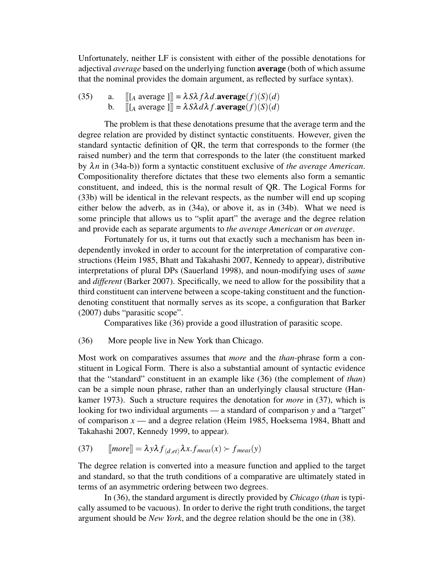Unfortunately, neither LF is consistent with either of the possible denotations for adjectival *average* based on the underlying function average (both of which assume that the nominal provides the domain argument, as reflected by surface syntax).

(35) a.  $[[A \text{ average } ]] = \lambda S \lambda f \lambda d \text{.} \text{average}(f)(S)(d)$ b.  $[[A \text{ average } ]] = \lambda S \lambda d \lambda f \text{.average}(f)(S)(d)$ 

The problem is that these denotations presume that the average term and the degree relation are provided by distinct syntactic constituents. However, given the standard syntactic definition of QR, the term that corresponds to the former (the raised number) and the term that corresponds to the later (the constituent marked by λ*n* in (34a-b)) form a syntactic constituent exclusive of *the average American*. Compositionality therefore dictates that these two elements also form a semantic constituent, and indeed, this is the normal result of QR. The Logical Forms for (33b) will be identical in the relevant respects, as the number will end up scoping either below the adverb, as in (34a), or above it, as in (34b). What we need is some principle that allows us to "split apart" the average and the degree relation and provide each as separate arguments to *the average American* or *on average*.

Fortunately for us, it turns out that exactly such a mechanism has been independently invoked in order to account for the interpretation of comparative constructions (Heim 1985, Bhatt and Takahashi 2007, Kennedy to appear), distributive interpretations of plural DPs (Sauerland 1998), and noun-modifying uses of *same* and *different* (Barker 2007). Specifically, we need to allow for the possibility that a third constituent can intervene between a scope-taking constituent and the functiondenoting constituent that normally serves as its scope, a configuration that Barker (2007) dubs "parasitic scope".

Comparatives like (36) provide a good illustration of parasitic scope.

(36) More people live in New York than Chicago.

Most work on comparatives assumes that *more* and the *than*-phrase form a constituent in Logical Form. There is also a substantial amount of syntactic evidence that the "standard" constituent in an example like (36) (the complement of *than*) can be a simple noun phrase, rather than an underlyingly clausal structure (Hankamer 1973). Such a structure requires the denotation for *more* in (37), which is looking for two individual arguments — a standard of comparison *y* and a "target" of comparison *x* — and a degree relation (Heim 1985, Hoeksema 1984, Bhatt and Takahashi 2007, Kennedy 1999, to appear).

(37) 
$$
[more] = \lambda y \lambda f_{\langle d, et \rangle} \lambda x . f_{meas}(x) \succ f_{meas}(y)
$$

The degree relation is converted into a measure function and applied to the target and standard, so that the truth conditions of a comparative are ultimately stated in terms of an asymmetric ordering between two degrees.

In (36), the standard argument is directly provided by *Chicago* (*than* is typically assumed to be vacuous). In order to derive the right truth conditions, the target argument should be *New York*, and the degree relation should be the one in (38).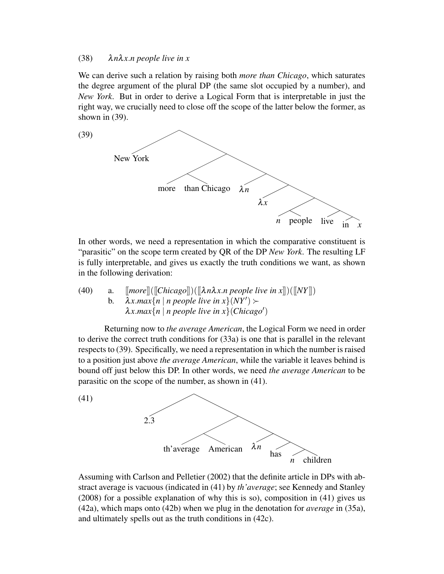#### (38) λ*n*λ*x*.*n people live in x*

We can derive such a relation by raising both *more than Chicago*, which saturates the degree argument of the plural DP (the same slot occupied by a number), and *New York*. But in order to derive a Logical Form that is interpretable in just the right way, we crucially need to close off the scope of the latter below the former, as shown in (39).



In other words, we need a representation in which the comparative constituent is "parasitic" on the scope term created by QR of the DP *New York*. The resulting LF is fully interpretable, and gives us exactly the truth conditions we want, as shown in the following derivation:

(40) a. 
$$
[more]([\text{Chicago}])([\text{lambda} x.n \text{ people live in } x])([[NY])
$$
  
b. 
$$
\lambda x.max\{n \mid n \text{ people live in } x\} (NY') \succ
$$
  

$$
\lambda x.max\{n \mid n \text{ people live in } x\} (Chicago')
$$

Returning now to *the average American*, the Logical Form we need in order to derive the correct truth conditions for (33a) is one that is parallel in the relevant respects to (39). Specifically, we need a representation in which the number is raised to a position just above *the average American*, while the variable it leaves behind is bound off just below this DP. In other words, we need *the average American* to be parasitic on the scope of the number, as shown in (41).



Assuming with Carlson and Pelletier (2002) that the definite article in DPs with abstract average is vacuous (indicated in (41) by *th'average*; see Kennedy and Stanley (2008) for a possible explanation of why this is so), composition in (41) gives us (42a), which maps onto (42b) when we plug in the denotation for *average* in (35a), and ultimately spells out as the truth conditions in (42c).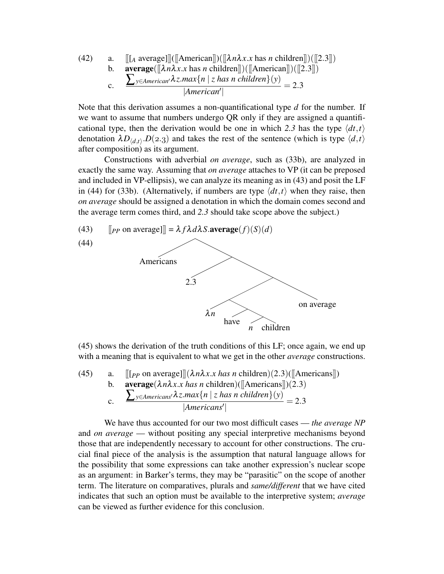(42) a. [[*A* average]]([
$$
\{\text{American}\}
$$
])([[ $\lambda n\lambda x.x$  has *n* children]])([[2.3]])  
b. **average**([[ $\lambda n\lambda x.x$  has *n* children]])([[ $\text{American}]$ )([[2.3]])  
c. 
$$
\frac{\sum_{y \in American'} \lambda z.max\{n \mid z \text{ has } n \text{ children}\}(y)}{|American'|} = 2.3
$$

Note that this derivation assumes a non-quantificational type *d* for the number. If we want to assume that numbers undergo QR only if they are assigned a quantificational type, then the derivation would be one in which 2.3 has the type  $\langle dt, t \rangle$ denotation  $\lambda D_{\langle d,t \rangle}.D(2.3)$  and takes the rest of the sentence (which is type  $\langle d,t \rangle$ after composition) as its argument.

Constructions with adverbial *on average*, such as (33b), are analyzed in exactly the same way. Assuming that *on average* attaches to VP (it can be preposed and included in VP-ellipsis), we can analyze its meaning as in (43) and posit the LF in (44) for (33b). (Alternatively, if numbers are type  $\langle dt, t \rangle$  when they raise, then *on average* should be assigned a denotation in which the domain comes second and the average term comes third, and *2.3* should take scope above the subject.)

(43)  $\left[\n\left| \rho_P \text{ on average} \right| \right] = \lambda f \lambda d \lambda S.\n\text{average}(f)(S)(d)$ 



(45) shows the derivation of the truth conditions of this LF; once again, we end up with a meaning that is equivalent to what we get in the other *average* constructions.

(45) a. 
$$
\llbracket [pp \text{ on average}] \rrbracket (\lambda n \lambda x.x has n \text{ children}) (2.3) (\llbracket \text{Americans} \rrbracket)
$$
  
b. **average**  $(\lambda n \lambda x.x has n \text{ children}) (\llbracket \text{Americans} \rrbracket) (2.3)$   
c. 
$$
\frac{\sum_{y \in Americans'} \lambda z.max\{n \mid z has n \text{ children}\}(y)}{|Americans'|} = 2.3
$$

We have thus accounted for our two most difficult cases — *the average NP* and *on average* — without positing any special interpretive mechanisms beyond those that are independently necessary to account for other constructions. The crucial final piece of the analysis is the assumption that natural language allows for the possibility that some expressions can take another expression's nuclear scope as an argument: in Barker's terms, they may be "parasitic" on the scope of another term. The literature on comparatives, plurals and *same/different* that we have cited indicates that such an option must be available to the interpretive system; *average* can be viewed as further evidence for this conclusion.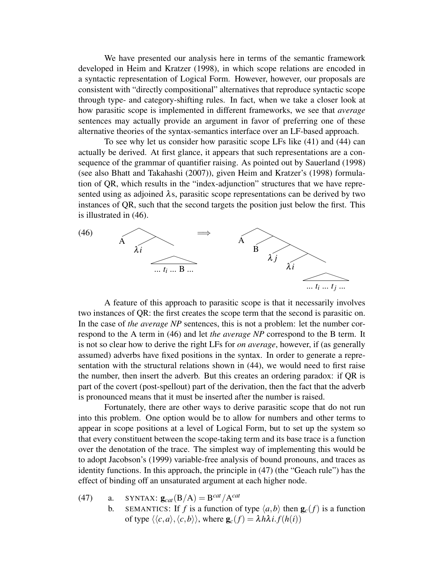We have presented our analysis here in terms of the semantic framework developed in Heim and Kratzer (1998), in which scope relations are encoded in a syntactic representation of Logical Form. However, however, our proposals are consistent with "directly compositional" alternatives that reproduce syntactic scope through type- and category-shifting rules. In fact, when we take a closer look at how parasitic scope is implemented in different frameworks, we see that *average* sentences may actually provide an argument in favor of preferring one of these alternative theories of the syntax-semantics interface over an LF-based approach.

To see why let us consider how parasitic scope LFs like (41) and (44) can actually be derived. At first glance, it appears that such representations are a consequence of the grammar of quantifier raising. As pointed out by Sauerland (1998) (see also Bhatt and Takahashi (2007)), given Heim and Kratzer's (1998) formulation of QR, which results in the "index-adjunction" structures that we have represented using as adjoined  $\lambda$ s, parasitic scope representations can be derived by two instances of QR, such that the second targets the position just below the first. This is illustrated in (46).



A feature of this approach to parasitic scope is that it necessarily involves two instances of QR: the first creates the scope term that the second is parasitic on. In the case of *the average NP* sentences, this is not a problem: let the number correspond to the A term in (46) and let *the average NP* correspond to the B term. It is not so clear how to derive the right LFs for *on average*, however, if (as generally assumed) adverbs have fixed positions in the syntax. In order to generate a representation with the structural relations shown in (44), we would need to first raise the number, then insert the adverb. But this creates an ordering paradox: if QR is part of the covert (post-spellout) part of the derivation, then the fact that the adverb is pronounced means that it must be inserted after the number is raised.

Fortunately, there are other ways to derive parasitic scope that do not run into this problem. One option would be to allow for numbers and other terms to appear in scope positions at a level of Logical Form, but to set up the system so that every constituent between the scope-taking term and its base trace is a function over the denotation of the trace. The simplest way of implementing this would be to adopt Jacobson's (1999) variable-free analysis of bound pronouns, and traces as identity functions. In this approach, the principle in (47) (the "Geach rule") has the effect of binding off an unsaturated argument at each higher node.

- (47) a. SYNTAX:  $\mathbf{g}_{cat}(\mathbf{B}/\mathbf{A}) = \mathbf{B}^{cat}/\mathbf{A}^{cat}$ 
	- b. SEMANTICS: If *f* is a function of type  $\langle a,b \rangle$  then  $\mathbf{g}_c(f)$  is a function of type  $\langle \langle c, a \rangle, \langle c, b \rangle \rangle$ , where  $\mathbf{g}_c(f) = \lambda h \lambda i. f(h(i))$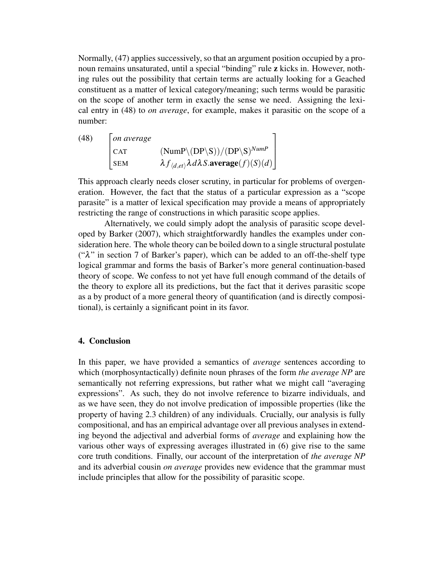Normally, (47) applies successively, so that an argument position occupied by a pronoun remains unsaturated, until a special "binding" rule z kicks in. However, nothing rules out the possibility that certain terms are actually looking for a Geached constituent as a matter of lexical category/meaning; such terms would be parasitic on the scope of another term in exactly the sense we need. Assigning the lexical entry in (48) to *on average*, for example, makes it parasitic on the scope of a number:

| (48) | $ $ on average |                                                                              |
|------|----------------|------------------------------------------------------------------------------|
|      | <sub>CAT</sub> | $(Nump \setminus (DP\setminus S))/(DP\setminus S)^{NumP}$                    |
|      | $ $ SEM        | $\lambda f_{\langle d, et \rangle} \lambda d\lambda S$ . average $(f)(S)(d)$ |

This approach clearly needs closer scrutiny, in particular for problems of overgeneration. However, the fact that the status of a particular expression as a "scope parasite" is a matter of lexical specification may provide a means of appropriately restricting the range of constructions in which parasitic scope applies.

Alternatively, we could simply adopt the analysis of parasitic scope developed by Barker (2007), which straightforwardly handles the examples under consideration here. The whole theory can be boiled down to a single structural postulate (" $\lambda$ " in section 7 of Barker's paper), which can be added to an off-the-shelf type logical grammar and forms the basis of Barker's more general continuation-based theory of scope. We confess to not yet have full enough command of the details of the theory to explore all its predictions, but the fact that it derives parasitic scope as a by product of a more general theory of quantification (and is directly compositional), is certainly a significant point in its favor.

# 4. Conclusion

In this paper, we have provided a semantics of *average* sentences according to which (morphosyntactically) definite noun phrases of the form *the average NP* are semantically not referring expressions, but rather what we might call "averaging expressions". As such, they do not involve reference to bizarre individuals, and as we have seen, they do not involve predication of impossible properties (like the property of having 2.3 children) of any individuals. Crucially, our analysis is fully compositional, and has an empirical advantage over all previous analyses in extending beyond the adjectival and adverbial forms of *average* and explaining how the various other ways of expressing averages illustrated in (6) give rise to the same core truth conditions. Finally, our account of the interpretation of *the average NP* and its adverbial cousin *on average* provides new evidence that the grammar must include principles that allow for the possibility of parasitic scope.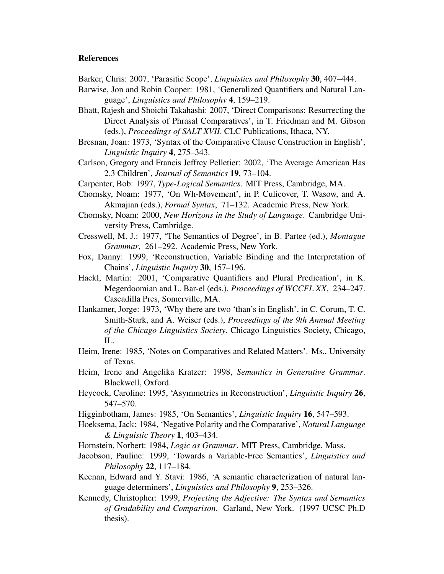#### References

- Barker, Chris: 2007, 'Parasitic Scope', *Linguistics and Philosophy* 30, 407–444.
- Barwise, Jon and Robin Cooper: 1981, 'Generalized Quantifiers and Natural Language', *Linguistics and Philosophy* 4, 159–219.
- Bhatt, Rajesh and Shoichi Takahashi: 2007, 'Direct Comparisons: Resurrecting the Direct Analysis of Phrasal Comparatives', in T. Friedman and M. Gibson (eds.), *Proceedings of SALT XVII*. CLC Publications, Ithaca, NY.
- Bresnan, Joan: 1973, 'Syntax of the Comparative Clause Construction in English', *Linguistic Inquiry* 4, 275–343.
- Carlson, Gregory and Francis Jeffrey Pelletier: 2002, 'The Average American Has 2.3 Children', *Journal of Semantics* 19, 73–104.
- Carpenter, Bob: 1997, *Type-Logical Semantics*. MIT Press, Cambridge, MA.
- Chomsky, Noam: 1977, 'On Wh-Movement', in P. Culicover, T. Wasow, and A. Akmajian (eds.), *Formal Syntax*, 71–132. Academic Press, New York.
- Chomsky, Noam: 2000, *New Horizons in the Study of Language*. Cambridge University Press, Cambridge.
- Cresswell, M. J.: 1977, 'The Semantics of Degree', in B. Partee (ed.), *Montague Grammar*, 261–292. Academic Press, New York.
- Fox, Danny: 1999, 'Reconstruction, Variable Binding and the Interpretation of Chains', *Linguistic Inquiry* 30, 157–196.
- Hackl, Martin: 2001, 'Comparative Quantifiers and Plural Predication', in K. Megerdoomian and L. Bar-el (eds.), *Proceedings of WCCFL XX*, 234–247. Cascadilla Pres, Somerville, MA.
- Hankamer, Jorge: 1973, 'Why there are two 'than's in English', in C. Corum, T. C. Smith-Stark, and A. Weiser (eds.), *Proceedings of the 9th Annual Meeting of the Chicago Linguistics Society*. Chicago Linguistics Society, Chicago, IL.
- Heim, Irene: 1985, 'Notes on Comparatives and Related Matters'. Ms., University of Texas.
- Heim, Irene and Angelika Kratzer: 1998, *Semantics in Generative Grammar*. Blackwell, Oxford.
- Heycock, Caroline: 1995, 'Asymmetries in Reconstruction', *Linguistic Inquiry* 26, 547–570.
- Higginbotham, James: 1985, 'On Semantics', *Linguistic Inquiry* 16, 547–593.
- Hoeksema, Jack: 1984, 'Negative Polarity and the Comparative', *Natural Language & Linguistic Theory* 1, 403–434.
- Hornstein, Norbert: 1984, *Logic as Grammar*. MIT Press, Cambridge, Mass.
- Jacobson, Pauline: 1999, 'Towards a Variable-Free Semantics', *Linguistics and Philosophy* 22, 117–184.
- Keenan, Edward and Y. Stavi: 1986, 'A semantic characterization of natural language determiners', *Linguistics and Philosophy* 9, 253–326.
- Kennedy, Christopher: 1999, *Projecting the Adjective: The Syntax and Semantics of Gradability and Comparison*. Garland, New York. (1997 UCSC Ph.D thesis).